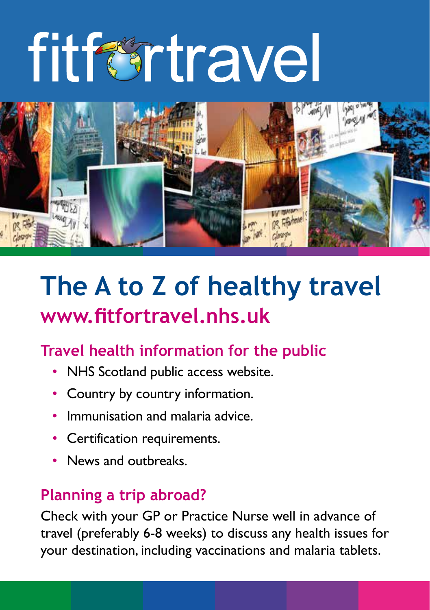# fitfertravel



## **The A to Z of healthy travel www.fitfortravel.nhs.uk**

## **Travel health information for the public**

- NHS Scotland public access website.
- Country by country information.
- Immunisation and malaria advice.
- Certification requirements.
- News and outbreaks.

## **Planning a trip abroad?**

Check with your GP or Practice Nurse well in advance of travel (preferably 6-8 weeks) to discuss any health issues for your destination, including vaccinations and malaria tablets.